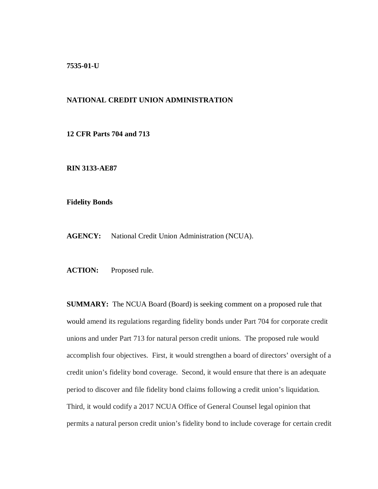**7535-01-U**

## **NATIONAL CREDIT UNION ADMINISTRATION**

**12 CFR Parts 704 and 713**

**RIN 3133-AE87**

**Fidelity Bonds**

**AGENCY:** National Credit Union Administration (NCUA).

**ACTION:** Proposed rule.

**SUMMARY:** The NCUA Board (Board) is seeking comment on a proposed rule that would amend its regulations regarding fidelity bonds under Part 704 for corporate credit unions and under Part 713 for natural person credit unions. The proposed rule would accomplish four objectives. First, it would strengthen a board of directors' oversight of a credit union's fidelity bond coverage. Second, it would ensure that there is an adequate period to discover and file fidelity bond claims following a credit union's liquidation. Third, it would codify a 2017 NCUA Office of General Counsel legal opinion that permits a natural person credit union's fidelity bond to include coverage for certain credit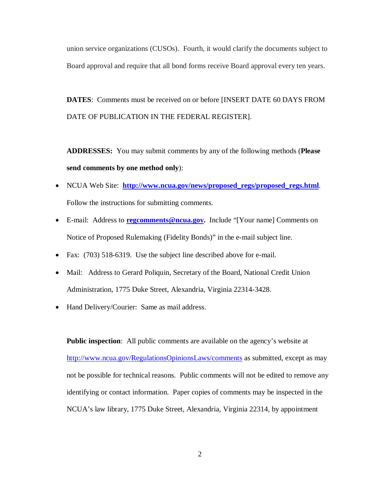union service organizations (CUSOs). Fourth, it would clarify the documents subject to Board approval and require that all bond forms receive Board approval every ten years.

**DATES**: Comments must be received on or before [INSERT DATE 60 DAYS FROM DATE OF PUBLICATION IN THE FEDERAL REGISTER].

**ADDRESSES:** You may submit comments by any of the following methods (**Please send comments by one method only**):

- NCUA Web Site: **[http://www.ncua.gov/news/proposed\\_regs/proposed\\_regs.html](http://www.ncua.gov/news/proposed_regs/proposed_regs.html)**. Follow the instructions for submitting comments.
- E-mail: Address to **<u>regcomments@ncua.gov</u>**. Include "[Your name] Comments on Notice of Proposed Rulemaking (Fidelity Bonds)" in the e-mail subject line.
- Fax: (703) 518-6319. Use the subject line described above for e-mail.
- Mail: Address to Gerard Poliquin, Secretary of the Board, National Credit Union Administration, 1775 Duke Street, Alexandria, Virginia 22314-3428.
- Hand Delivery/Courier: Same as mail address.

**Public inspection:** All public comments are available on the agency's website at <http://www.ncua.gov/RegulationsOpinionsLaws/comments> as submitted, except as may not be possible for technical reasons. Public comments will not be edited to remove any identifying or contact information. Paper copies of comments may be inspected in the NCUA's law library, 1775 Duke Street, Alexandria, Virginia 22314, by appointment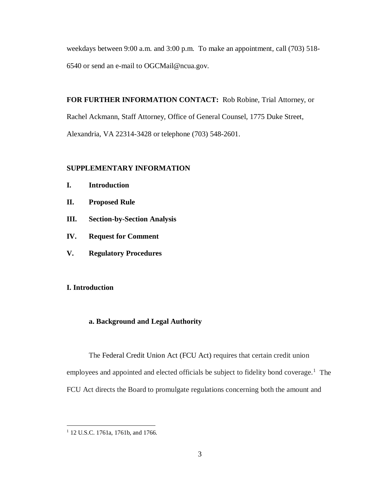weekdays between 9:00 a.m. and 3:00 p.m. To make an appointment, call (703) 518- 6540 or send an e-mail to OGCMail@ncua.gov.

**FOR FURTHER INFORMATION CONTACT:** Rob Robine, Trial Attorney, or Rachel Ackmann, Staff Attorney, Office of General Counsel, 1775 Duke Street, Alexandria, VA 22314-3428 or telephone (703) 548-2601.

## **SUPPLEMENTARY INFORMATION**

- **I. Introduction**
- **II. Proposed Rule**
- **III. Section-by-Section Analysis**
- **IV. Request for Comment**
- **V. Regulatory Procedures**

# **I. Introduction**

# **a. Background and Legal Authority**

The Federal Credit Union Act (FCU Act) requires that certain credit union employees and appointed and elected officials be subject to fidelity bond coverage.<sup>[1](#page-2-0)</sup> The FCU Act directs the Board to promulgate regulations concerning both the amount and

<span id="page-2-0"></span><sup>&</sup>lt;sup>1</sup> 12 U.S.C. 1761a, 1761b, and 1766.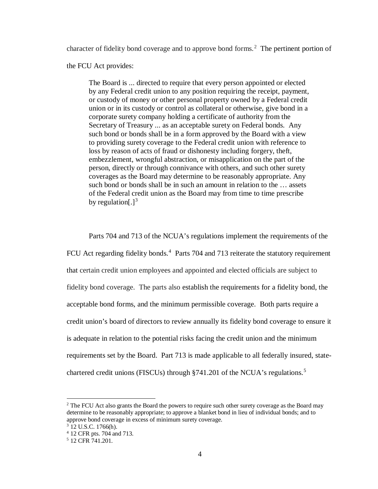character of fidelity bond coverage and to approve bond forms. [2](#page-3-0) The pertinent portion of

the FCU Act provides:

The Board is ... directed to require that every person appointed or elected by any Federal credit union to any position requiring the receipt, payment, or custody of money or other personal property owned by a Federal credit union or in its custody or control as collateral or otherwise, give bond in a corporate surety company holding a certificate of authority from the Secretary of Treasury ... as an acceptable surety on Federal bonds. Any such bond or bonds shall be in a form approved by the Board with a view to providing surety coverage to the Federal credit union with reference to loss by reason of acts of fraud or dishonesty including forgery, theft, embezzlement, wrongful abstraction, or misapplication on the part of the person, directly or through connivance with others*,* and such other surety coverages as the Board may determine to be reasonably appropriate. Any such bond or bonds shall be in such an amount in relation to the … assets of the Federal credit union as the Board may from time to time prescribe by regulation[ $.\,$ ]<sup>[3](#page-3-1)</sup>

Parts 704 and 713 of the NCUA's regulations implement the requirements of the FCU Act regarding fidelity bonds.<sup>[4](#page-3-2)</sup> Parts 704 and 713 reiterate the statutory requirement that certain credit union employees and appointed and elected officials are subject to fidelity bond coverage. The parts also establish the requirements for a fidelity bond, the acceptable bond forms, and the minimum permissible coverage. Both parts require a credit union's board of directors to review annually its fidelity bond coverage to ensure it is adequate in relation to the potential risks facing the credit union and the minimum requirements set by the Board. Part 713 is made applicable to all federally insured, state-chartered credit unions (FISCUs) through §741.201 of the NCUA's regulations.<sup>[5](#page-3-3)</sup>

<span id="page-3-0"></span><sup>&</sup>lt;sup>2</sup> The FCU Act also grants the Board the powers to require such other surety coverage as the Board may determine to be reasonably appropriate; to approve a blanket bond in lieu of individual bonds; and to approve bond coverage in excess of minimum surety coverage.

 $3$  12 U.S.C. 1766(h).

<span id="page-3-2"></span><span id="page-3-1"></span><sup>4</sup> 12 CFR pts. 704 and 713.

<span id="page-3-3"></span><sup>5</sup> 12 CFR 741.201.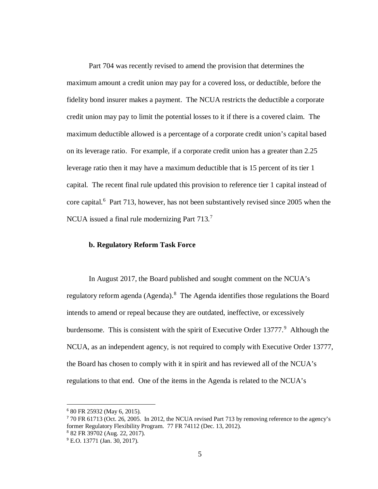Part 704 was recently revised to amend the provision that determines the maximum amount a credit union may pay for a covered loss, or deductible, before the fidelity bond insurer makes a payment. The NCUA restricts the deductible a corporate credit union may pay to limit the potential losses to it if there is a covered claim. The maximum deductible allowed is a percentage of a corporate credit union's capital based on its leverage ratio. For example, if a corporate credit union has a greater than 2.25 leverage ratio then it may have a maximum deductible that is 15 percent of its tier 1 capital. The recent final rule updated this provision to reference tier 1 capital instead of core capital. [6](#page-4-0) Part 713, however, has not been substantively revised since 2005 when the NCUA issued a final rule modernizing Part  $713$  $713$ <sup>7</sup>

## **b. Regulatory Reform Task Force**

In August 2017, the Board published and sought comment on the NCUA's regulatory reform agenda (Agenda).[8](#page-4-2) The Agenda identifies those regulations the Board intends to amend or repeal because they are outdated, ineffective, or excessively burdensome. This is consistent with the spirit of Executive Order  $13777$ <sup>[9](#page-4-3)</sup>. Although the NCUA, as an independent agency, is not required to comply with Executive Order 13777, the Board has chosen to comply with it in spirit and has reviewed all of the NCUA's regulations to that end. One of the items in the Agenda is related to the NCUA's

<span id="page-4-0"></span> <sup>6</sup> 80 FR 25932 (May 6, 2015).

<span id="page-4-1"></span><sup>7</sup> 70 FR 61713 (Oct. 26, 2005. In 2012, the NCUA revised Part 713 by removing reference to the agency's former Regulatory Flexibility Program. 77 FR 74112 (Dec. 13, 2012).

<span id="page-4-2"></span><sup>8</sup> 82 FR 39702 (Aug. 22, 2017).

<span id="page-4-3"></span><sup>9</sup> E.O. 13771 (Jan. 30, 2017).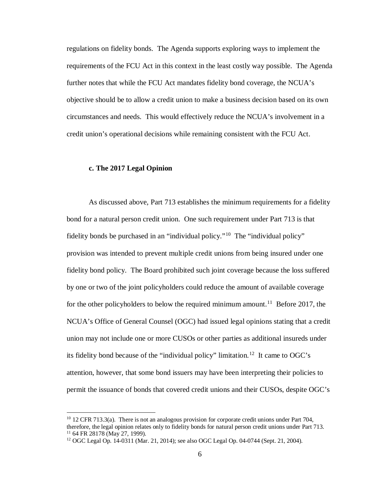regulations on fidelity bonds. The Agenda supports exploring ways to implement the requirements of the FCU Act in this context in the least costly way possible. The Agenda further notes that while the FCU Act mandates fidelity bond coverage, the NCUA's objective should be to allow a credit union to make a business decision based on its own circumstances and needs. This would effectively reduce the NCUA's involvement in a credit union's operational decisions while remaining consistent with the FCU Act.

## **c. The 2017 Legal Opinion**

 $\overline{\phantom{a}}$ 

As discussed above, Part 713 establishes the minimum requirements for a fidelity bond for a natural person credit union. One such requirement under Part 713 is that fidelity bonds be purchased in an "individual policy."<sup>10</sup> The "individual policy" provision was intended to prevent multiple credit unions from being insured under one fidelity bond policy. The Board prohibited such joint coverage because the loss suffered by one or two of the joint policyholders could reduce the amount of available coverage for the other policyholders to below the required minimum amount.<sup>[11](#page-5-1)</sup> Before 2017, the NCUA's Office of General Counsel (OGC) had issued legal opinions stating that a credit union may not include one or more CUSOs or other parties as additional insureds under its fidelity bond because of the "individual policy" limitation. [12](#page-5-2) It came to OGC's attention, however, that some bond issuers may have been interpreting their policies to permit the issuance of bonds that covered credit unions and their CUSOs, despite OGC's

<span id="page-5-0"></span> $10\,12$  CFR 713.3(a). There is not an analogous provision for corporate credit unions under Part 704, therefore, the legal opinion relates only to fidelity bonds for natural person credit unions under Part 713.<br><sup>11</sup> 64 FR 28178 (May 27, 1999).

<span id="page-5-2"></span><span id="page-5-1"></span><sup>12</sup> OGC Legal Op. 14-0311 (Mar. 21, 2014); see also OGC Legal Op. 04-0744 (Sept. 21, 2004).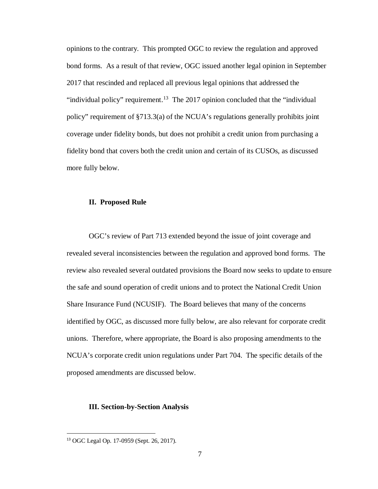opinions to the contrary. This prompted OGC to review the regulation and approved bond forms. As a result of that review, OGC issued another legal opinion in September 2017 that rescinded and replaced all previous legal opinions that addressed the "individual policy" requirement.<sup>13</sup> The 2017 opinion concluded that the "individual" policy" requirement of §713.3(a) of the NCUA's regulations generally prohibits joint coverage under fidelity bonds, but does not prohibit a credit union from purchasing a fidelity bond that covers both the credit union and certain of its CUSOs, as discussed more fully below.

#### **II. Proposed Rule**

OGC's review of Part 713 extended beyond the issue of joint coverage and revealed several inconsistencies between the regulation and approved bond forms. The review also revealed several outdated provisions the Board now seeks to update to ensure the safe and sound operation of credit unions and to protect the National Credit Union Share Insurance Fund (NCUSIF). The Board believes that many of the concerns identified by OGC, as discussed more fully below, are also relevant for corporate credit unions. Therefore, where appropriate, the Board is also proposing amendments to the NCUA's corporate credit union regulations under Part 704. The specific details of the proposed amendments are discussed below.

### **III. Section-by-Section Analysis**

<span id="page-6-0"></span> <sup>13</sup> OGC Legal Op. 17-0959 (Sept. 26, 2017).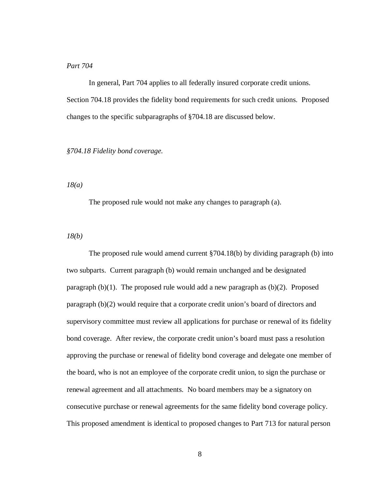## *Part 704*

In general, Part 704 applies to all federally insured corporate credit unions. Section 704.18 provides the fidelity bond requirements for such credit unions. Proposed changes to the specific subparagraphs of §704.18 are discussed below.

## *§704.18 Fidelity bond coverage.*

*18(a)*

The proposed rule would not make any changes to paragraph (a).

*18(b)*

The proposed rule would amend current §704.18(b) by dividing paragraph (b) into two subparts. Current paragraph (b) would remain unchanged and be designated paragraph (b)(1). The proposed rule would add a new paragraph as (b)(2). Proposed paragraph (b)(2) would require that a corporate credit union's board of directors and supervisory committee must review all applications for purchase or renewal of its fidelity bond coverage. After review, the corporate credit union's board must pass a resolution approving the purchase or renewal of fidelity bond coverage and delegate one member of the board, who is not an employee of the corporate credit union, to sign the purchase or renewal agreement and all attachments. No board members may be a signatory on consecutive purchase or renewal agreements for the same fidelity bond coverage policy. This proposed amendment is identical to proposed changes to Part 713 for natural person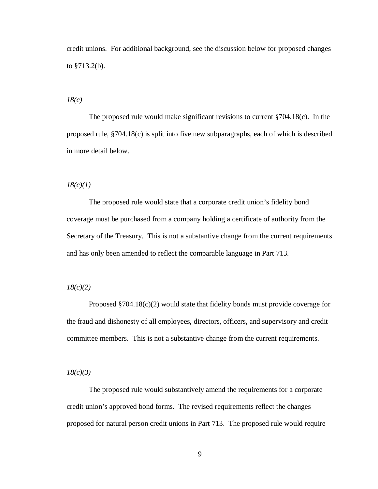credit unions. For additional background, see the discussion below for proposed changes to §713.2(b).

*18(c)*

The proposed rule would make significant revisions to current  $\S 704.18(c)$ . In the proposed rule, §704.18(c) is split into five new subparagraphs, each of which is described in more detail below.

#### *18(c)(1)*

The proposed rule would state that a corporate credit union's fidelity bond coverage must be purchased from a company holding a certificate of authority from the Secretary of the Treasury. This is not a substantive change from the current requirements and has only been amended to reflect the comparable language in Part 713.

## *18(c)(2)*

Proposed §704.18(c)(2) would state that fidelity bonds must provide coverage for the fraud and dishonesty of all employees, directors, officers, and supervisory and credit committee members. This is not a substantive change from the current requirements.

*18(c)(3)*

The proposed rule would substantively amend the requirements for a corporate credit union's approved bond forms. The revised requirements reflect the changes proposed for natural person credit unions in Part 713. The proposed rule would require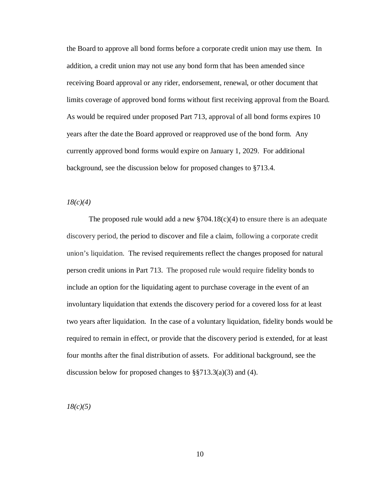the Board to approve all bond forms before a corporate credit union may use them. In addition, a credit union may not use any bond form that has been amended since receiving Board approval or any rider, endorsement, renewal, or other document that limits coverage of approved bond forms without first receiving approval from the Board. As would be required under proposed Part 713, approval of all bond forms expires 10 years after the date the Board approved or reapproved use of the bond form. Any currently approved bond forms would expire on January 1, 2029. For additional background, see the discussion below for proposed changes to §713.4.

### *18(c)(4)*

The proposed rule would add a new  $\S 704.18(c)(4)$  to ensure there is an adequate discovery period, the period to discover and file a claim, following a corporate credit union's liquidation. The revised requirements reflect the changes proposed for natural person credit unions in Part 713. The proposed rule would require fidelity bonds to include an option for the liquidating agent to purchase coverage in the event of an involuntary liquidation that extends the discovery period for a covered loss for at least two years after liquidation. In the case of a voluntary liquidation, fidelity bonds would be required to remain in effect, or provide that the discovery period is extended, for at least four months after the final distribution of assets. For additional background, see the discussion below for proposed changes to  $\S$ §713.3(a)(3) and (4).

*18(c)(5)*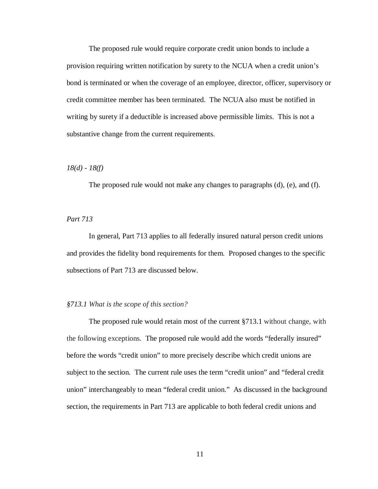The proposed rule would require corporate credit union bonds to include a provision requiring written notification by surety to the NCUA when a credit union's bond is terminated or when the coverage of an employee, director, officer, supervisory or credit committee member has been terminated. The NCUA also must be notified in writing by surety if a deductible is increased above permissible limits. This is not a substantive change from the current requirements.

## *18(d) - 18(f)*

The proposed rule would not make any changes to paragraphs (d), (e), and (f).

## *Part 713*

In general, Part 713 applies to all federally insured natural person credit unions and provides the fidelity bond requirements for them. Proposed changes to the specific subsections of Part 713 are discussed below.

## *§713.1 What is the scope of this section?*

The proposed rule would retain most of the current §713.1 without change, with the following exceptions. The proposed rule would add the words "federally insured" before the words "credit union" to more precisely describe which credit unions are subject to the section. The current rule uses the term "credit union" and "federal credit union" interchangeably to mean "federal credit union." As discussed in the background section, the requirements in Part 713 are applicable to both federal credit unions and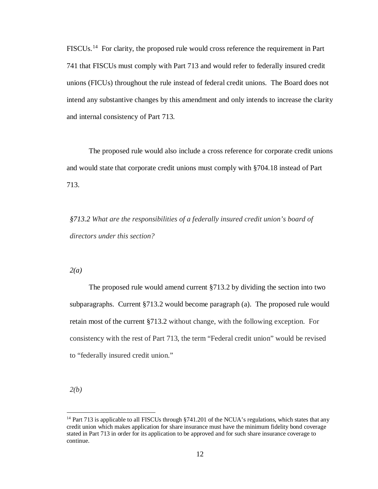FISCUs.<sup>[14](#page-11-0)</sup> For clarity, the proposed rule would cross reference the requirement in Part 741 that FISCUs must comply with Part 713 and would refer to federally insured credit unions (FICUs) throughout the rule instead of federal credit unions. The Board does not intend any substantive changes by this amendment and only intends to increase the clarity and internal consistency of Part 713.

The proposed rule would also include a cross reference for corporate credit unions and would state that corporate credit unions must comply with §704.18 instead of Part 713.

*§713.2 What are the responsibilities of a federally insured credit union's board of directors under this section?*

*2(a)*

The proposed rule would amend current §713.2 by dividing the section into two subparagraphs. Current §713.2 would become paragraph (a). The proposed rule would retain most of the current §713.2 without change, with the following exception. For consistency with the rest of Part 713, the term "Federal credit union" would be revised to "federally insured credit union."

*2(b)* 

<span id="page-11-0"></span><sup>&</sup>lt;sup>14</sup> Part 713 is applicable to all FISCUs through  $$741.201$  of the NCUA's regulations, which states that any credit union which makes application for share insurance must have the minimum fidelity bond coverage stated in Part 713 in order for its application to be approved and for such share insurance coverage to continue.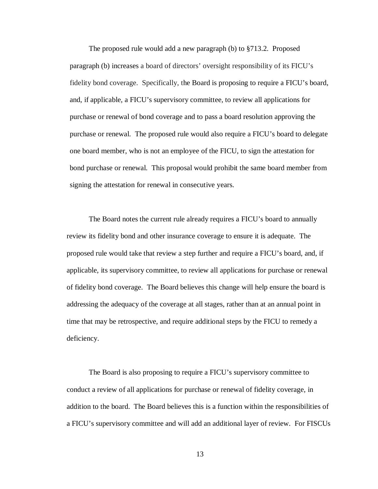The proposed rule would add a new paragraph (b) to §713.2. Proposed paragraph (b) increases a board of directors' oversight responsibility of its FICU's fidelity bond coverage. Specifically, the Board is proposing to require a FICU's board, and, if applicable, a FICU's supervisory committee, to review all applications for purchase or renewal of bond coverage and to pass a board resolution approving the purchase or renewal. The proposed rule would also require a FICU's board to delegate one board member, who is not an employee of the FICU, to sign the attestation for bond purchase or renewal. This proposal would prohibit the same board member from signing the attestation for renewal in consecutive years.

The Board notes the current rule already requires a FICU's board to annually review its fidelity bond and other insurance coverage to ensure it is adequate. The proposed rule would take that review a step further and require a FICU's board, and, if applicable, its supervisory committee, to review all applications for purchase or renewal of fidelity bond coverage. The Board believes this change will help ensure the board is addressing the adequacy of the coverage at all stages, rather than at an annual point in time that may be retrospective, and require additional steps by the FICU to remedy a deficiency.

The Board is also proposing to require a FICU's supervisory committee to conduct a review of all applications for purchase or renewal of fidelity coverage, in addition to the board. The Board believes this is a function within the responsibilities of a FICU's supervisory committee and will add an additional layer of review. For FISCUs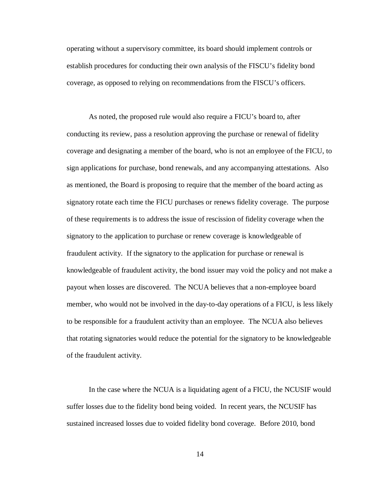operating without a supervisory committee, its board should implement controls or establish procedures for conducting their own analysis of the FISCU's fidelity bond coverage, as opposed to relying on recommendations from the FISCU's officers.

As noted, the proposed rule would also require a FICU's board to, after conducting its review, pass a resolution approving the purchase or renewal of fidelity coverage and designating a member of the board, who is not an employee of the FICU, to sign applications for purchase, bond renewals, and any accompanying attestations. Also as mentioned, the Board is proposing to require that the member of the board acting as signatory rotate each time the FICU purchases or renews fidelity coverage. The purpose of these requirements is to address the issue of rescission of fidelity coverage when the signatory to the application to purchase or renew coverage is knowledgeable of fraudulent activity. If the signatory to the application for purchase or renewal is knowledgeable of fraudulent activity, the bond issuer may void the policy and not make a payout when losses are discovered. The NCUA believes that a non-employee board member, who would not be involved in the day-to-day operations of a FICU, is less likely to be responsible for a fraudulent activity than an employee. The NCUA also believes that rotating signatories would reduce the potential for the signatory to be knowledgeable of the fraudulent activity.

In the case where the NCUA is a liquidating agent of a FICU, the NCUSIF would suffer losses due to the fidelity bond being voided. In recent years, the NCUSIF has sustained increased losses due to voided fidelity bond coverage. Before 2010, bond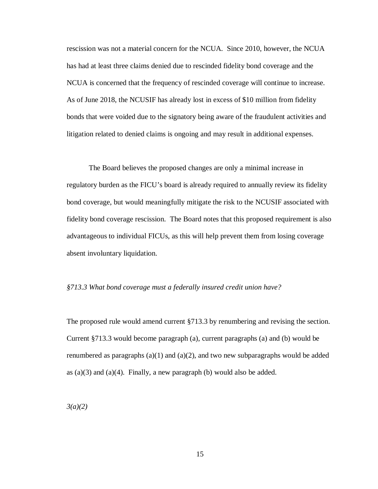rescission was not a material concern for the NCUA. Since 2010, however, the NCUA has had at least three claims denied due to rescinded fidelity bond coverage and the NCUA is concerned that the frequency of rescinded coverage will continue to increase. As of June 2018, the NCUSIF has already lost in excess of \$10 million from fidelity bonds that were voided due to the signatory being aware of the fraudulent activities and litigation related to denied claims is ongoing and may result in additional expenses.

The Board believes the proposed changes are only a minimal increase in regulatory burden as the FICU's board is already required to annually review its fidelity bond coverage, but would meaningfully mitigate the risk to the NCUSIF associated with fidelity bond coverage rescission. The Board notes that this proposed requirement is also advantageous to individual FICUs, as this will help prevent them from losing coverage absent involuntary liquidation.

### *§713.3 What bond coverage must a federally insured credit union have?*

The proposed rule would amend current §713.3 by renumbering and revising the section. Current §713.3 would become paragraph (a), current paragraphs (a) and (b) would be renumbered as paragraphs  $(a)(1)$  and  $(a)(2)$ , and two new subparagraphs would be added as  $(a)(3)$  and  $(a)(4)$ . Finally, a new paragraph (b) would also be added.

*3(a)(2)*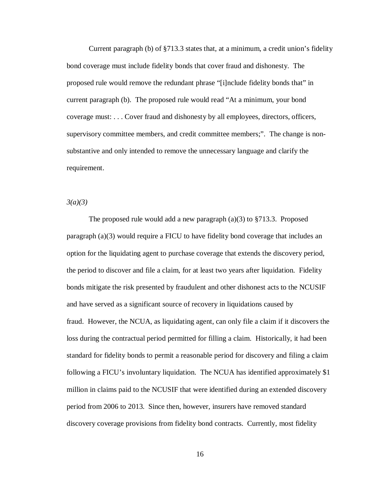Current paragraph (b) of §713.3 states that, at a minimum, a credit union's fidelity bond coverage must include fidelity bonds that cover fraud and dishonesty. The proposed rule would remove the redundant phrase "[i]nclude fidelity bonds that" in current paragraph (b). The proposed rule would read "At a minimum, your bond coverage must: . . . Cover fraud and dishonesty by all employees, directors, officers, supervisory committee members, and credit committee members;". The change is nonsubstantive and only intended to remove the unnecessary language and clarify the requirement.

*3(a)(3)* 

The proposed rule would add a new paragraph (a)(3) to §713.3. Proposed paragraph (a)(3) would require a FICU to have fidelity bond coverage that includes an option for the liquidating agent to purchase coverage that extends the discovery period, the period to discover and file a claim, for at least two years after liquidation. Fidelity bonds mitigate the risk presented by fraudulent and other dishonest acts to the NCUSIF and have served as a significant source of recovery in liquidations caused by fraud. However, the NCUA, as liquidating agent, can only file a claim if it discovers the loss during the contractual period permitted for filling a claim. Historically, it had been standard for fidelity bonds to permit a reasonable period for discovery and filing a claim following a FICU's involuntary liquidation. The NCUA has identified approximately \$1 million in claims paid to the NCUSIF that were identified during an extended discovery period from 2006 to 2013. Since then, however, insurers have removed standard discovery coverage provisions from fidelity bond contracts. Currently, most fidelity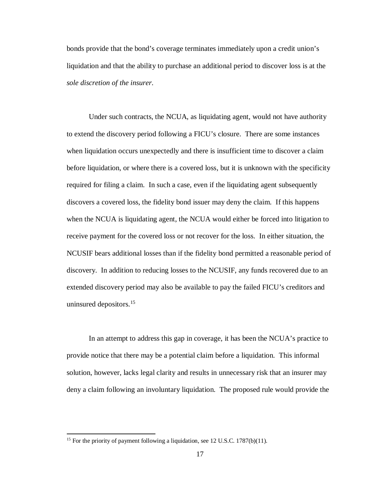bonds provide that the bond's coverage terminates immediately upon a credit union's liquidation and that the ability to purchase an additional period to discover loss is at the *sole discretion of the insurer*.

Under such contracts, the NCUA, as liquidating agent, would not have authority to extend the discovery period following a FICU's closure. There are some instances when liquidation occurs unexpectedly and there is insufficient time to discover a claim before liquidation, or where there is a covered loss, but it is unknown with the specificity required for filing a claim. In such a case, even if the liquidating agent subsequently discovers a covered loss, the fidelity bond issuer may deny the claim. If this happens when the NCUA is liquidating agent, the NCUA would either be forced into litigation to receive payment for the covered loss or not recover for the loss. In either situation, the NCUSIF bears additional losses than if the fidelity bond permitted a reasonable period of discovery. In addition to reducing losses to the NCUSIF, any funds recovered due to an extended discovery period may also be available to pay the failed FICU's creditors and uninsured depositors. [15](#page-16-0)

In an attempt to address this gap in coverage, it has been the NCUA's practice to provide notice that there may be a potential claim before a liquidation. This informal solution, however, lacks legal clarity and results in unnecessary risk that an insurer may deny a claim following an involuntary liquidation. The proposed rule would provide the

<span id="page-16-0"></span><sup>&</sup>lt;sup>15</sup> For the priority of payment following a liquidation, see 12 U.S.C. 1787(b)(11).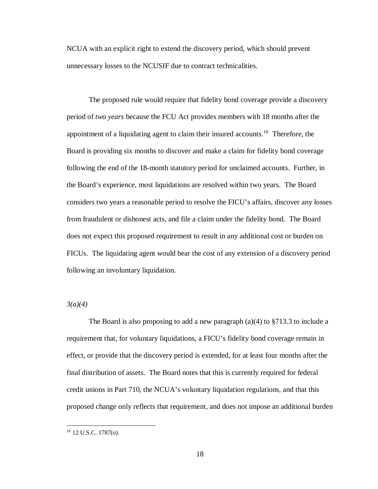NCUA with an explicit right to extend the discovery period, which should prevent unnecessary losses to the NCUSIF due to contract technicalities.

The proposed rule would require that fidelity bond coverage provide a discovery period of *two years* because the FCU Act provides members with 18 months after the appointment of a liquidating agent to claim their insured accounts.[16](#page-17-0) Therefore, the Board is providing six months to discover and make a claim for fidelity bond coverage following the end of the 18-month statutory period for unclaimed accounts. Further, in the Board's experience, most liquidations are resolved within two years. The Board considers two years a reasonable period to resolve the FICU's affairs, discover any losses from fraudulent or dishonest acts, and file a claim under the fidelity bond. The Board does not expect this proposed requirement to result in any additional cost or burden on FICUs. The liquidating agent would bear the cost of any extension of a discovery period following an involuntary liquidation.

## *3(a)(4)*

The Board is also proposing to add a new paragraph  $(a)(4)$  to  $\S 713.3$  to include a requirement that, for voluntary liquidations, a FICU's fidelity bond coverage remain in effect, or provide that the discovery period is extended, for at least four months after the final distribution of assets. The Board notes that this is currently required for federal credit unions in Part 710, the NCUA's voluntary liquidation regulations, and that this proposed change only reflects that requirement, and does not impose an additional burden

<span id="page-17-0"></span><sup>16</sup> 12 U.S.C. 1787(o).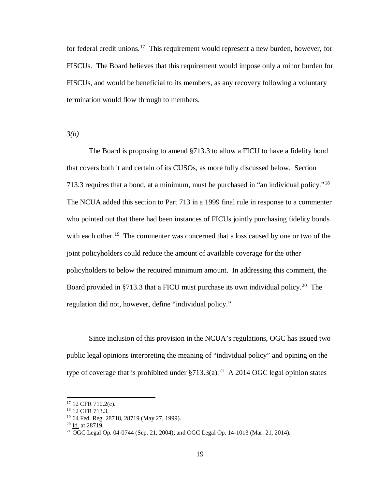for federal credit unions.<sup>[17](#page-18-0)</sup> This requirement would represent a new burden, however, for FISCUs. The Board believes that this requirement would impose only a minor burden for FISCUs, and would be beneficial to its members, as any recovery following a voluntary termination would flow through to members.

*3(b)*

The Board is proposing to amend §713.3 to allow a FICU to have a fidelity bond that covers both it and certain of its CUSOs, as more fully discussed below. Section 713.3 requires that a bond, at a minimum, must be purchased in "an individual policy."[18](#page-18-1) The NCUA added this section to Part 713 in a 1999 final rule in response to a commenter who pointed out that there had been instances of FICUs jointly purchasing fidelity bonds with each other.<sup>19</sup> The commenter was concerned that a loss caused by one or two of the joint policyholders could reduce the amount of available coverage for the other policyholders to below the required minimum amount. In addressing this comment, the Board provided in §713.3 that a FICU must purchase its own individual policy.<sup>[20](#page-18-3)</sup> The regulation did not, however, define "individual policy."

Since inclusion of this provision in the NCUA's regulations, OGC has issued two public legal opinions interpreting the meaning of "individual policy" and opining on the type of coverage that is prohibited under  $\S713.3(a)$ .<sup>21</sup> A 2014 OGC legal opinion states

<span id="page-18-0"></span><sup>&</sup>lt;sup>17</sup> 12 CFR 710.2(c).

<sup>18</sup> 12 CFR 713.3.

<span id="page-18-2"></span><span id="page-18-1"></span><sup>&</sup>lt;sup>19</sup> 64 Fed. Reg. 28718, 28719 (May 27, 1999).<br><sup>20</sup> Id. at 28719.

<span id="page-18-4"></span><span id="page-18-3"></span><sup>&</sup>lt;sup>21</sup> OGC Legal Op. 04-0744 (Sep. 21, 2004); and OGC Legal Op. 14-1013 (Mar. 21, 2014).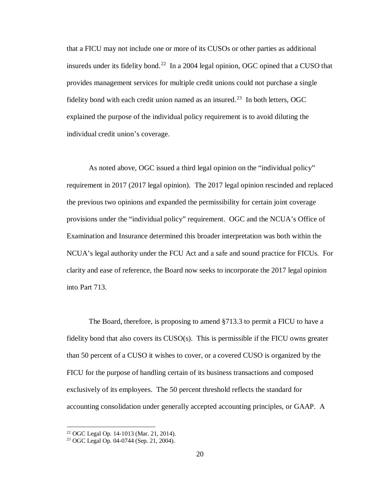that a FICU may not include one or more of its CUSOs or other parties as additional insureds under its fidelity bond.<sup>[22](#page-19-0)</sup> In a 2004 legal opinion, OGC opined that a CUSO that provides management services for multiple credit unions could not purchase a single fidelity bond with each credit union named as an insured.<sup>23</sup> In both letters, OGC explained the purpose of the individual policy requirement is to avoid diluting the individual credit union's coverage.

As noted above, OGC issued a third legal opinion on the "individual policy" requirement in 2017 (2017 legal opinion). The 2017 legal opinion rescinded and replaced the previous two opinions and expanded the permissibility for certain joint coverage provisions under the "individual policy" requirement. OGC and the NCUA's Office of Examination and Insurance determined this broader interpretation was both within the NCUA's legal authority under the FCU Act and a safe and sound practice for FICUs. For clarity and ease of reference, the Board now seeks to incorporate the 2017 legal opinion into Part 713.

The Board, therefore, is proposing to amend §713.3 to permit a FICU to have a fidelity bond that also covers its CUSO(s). This is permissible if the FICU owns greater than 50 percent of a CUSO it wishes to cover, or a covered CUSO is organized by the FICU for the purpose of handling certain of its business transactions and composed exclusively of its employees. The 50 percent threshold reflects the standard for accounting consolidation under generally accepted accounting principles, or GAAP. A

l

<span id="page-19-0"></span><sup>22</sup> OGC Legal Op. 14-1013 (Mar. 21, 2014).

<span id="page-19-1"></span><sup>23</sup> OGC Legal Op. 04-0744 (Sep. 21, 2004).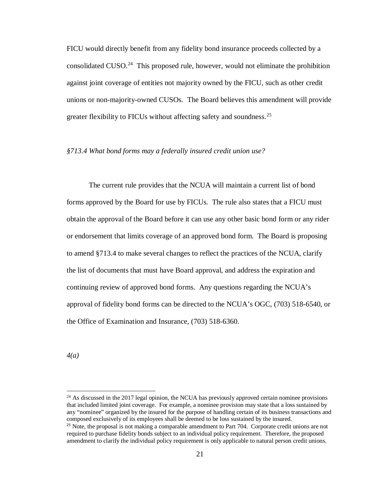FICU would directly benefit from any fidelity bond insurance proceeds collected by a consolidated CUSO.<sup>[24](#page-20-0)</sup> This proposed rule, however, would not eliminate the prohibition against joint coverage of entities not majority owned by the FICU, such as other credit unions or non-majority-owned CUSOs. The Board believes this amendment will provide greater flexibility to FICUs without affecting safety and soundness.<sup>[25](#page-20-1)</sup>

## *§713.4 What bond forms may a federally insured credit union use?*

The current rule provides that the NCUA will maintain a current list of bond forms approved by the Board for use by FICUs. The rule also states that a FICU must obtain the approval of the Board before it can use any other basic bond form or any rider or endorsement that limits coverage of an approved bond form. The Board is proposing to amend §713.4 to make several changes to reflect the practices of the NCUA, clarify the list of documents that must have Board approval, and address the expiration and continuing review of approved bond forms. Any questions regarding the NCUA's approval of fidelity bond forms can be directed to the NCUA's OGC, (703) 518-6540, or the Office of Examination and Insurance, (703) 518-6360.

*4(a)*

l

<span id="page-20-0"></span> $24$  As discussed in the 2017 legal opinion, the NCUA has previously approved certain nominee provisions that included limited joint coverage. For example, a nominee provision may state that a loss sustained by any "nominee" organized by the insured for the purpose of handling certain of its business transactions and composed exclusively of its employees shall be deemed to be loss sustained by the insured.

<span id="page-20-1"></span> $25$  Note, the proposal is not making a comparable amendment to Part 704. Corporate credit unions are not required to purchase fidelity bonds subject to an individual policy requirement. Therefore, the proposed amendment to clarify the individual policy requirement is only applicable to natural person credit unions.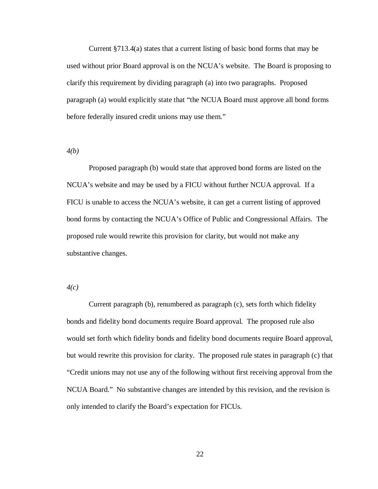Current §713.4(a) states that a current listing of basic bond forms that may be used without prior Board approval is on the NCUA's website. The Board is proposing to clarify this requirement by dividing paragraph (a) into two paragraphs. Proposed paragraph (a) would explicitly state that "the NCUA Board must approve all bond forms before federally insured credit unions may use them."

*4(b)*

Proposed paragraph (b) would state that approved bond forms are listed on the NCUA's website and may be used by a FICU without further NCUA approval. If a FICU is unable to access the NCUA's website, it can get a current listing of approved bond forms by contacting the NCUA's Office of Public and Congressional Affairs. The proposed rule would rewrite this provision for clarity, but would not make any substantive changes.

*4(c)*

Current paragraph (b), renumbered as paragraph (c), sets forth which fidelity bonds and fidelity bond documents require Board approval. The proposed rule also would set forth which fidelity bonds and fidelity bond documents require Board approval, but would rewrite this provision for clarity. The proposed rule states in paragraph (c) that "Credit unions may not use any of the following without first receiving approval from the NCUA Board." No substantive changes are intended by this revision, and the revision is only intended to clarify the Board's expectation for FICUs.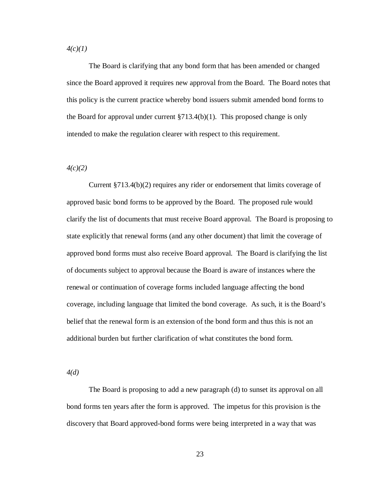*4(c)(1)*

The Board is clarifying that any bond form that has been amended or changed since the Board approved it requires new approval from the Board. The Board notes that this policy is the current practice whereby bond issuers submit amended bond forms to the Board for approval under current  $\S 713.4(b)(1)$ . This proposed change is only intended to make the regulation clearer with respect to this requirement.

*4(c)(2)*

Current §713.4(b)(2) requires any rider or endorsement that limits coverage of approved basic bond forms to be approved by the Board. The proposed rule would clarify the list of documents that must receive Board approval. The Board is proposing to state explicitly that renewal forms (and any other document) that limit the coverage of approved bond forms must also receive Board approval. The Board is clarifying the list of documents subject to approval because the Board is aware of instances where the renewal or continuation of coverage forms included language affecting the bond coverage, including language that limited the bond coverage. As such, it is the Board's belief that the renewal form is an extension of the bond form and thus this is not an additional burden but further clarification of what constitutes the bond form.

*4(d)*

The Board is proposing to add a new paragraph (d) to sunset its approval on all bond forms ten years after the form is approved. The impetus for this provision is the discovery that Board approved-bond forms were being interpreted in a way that was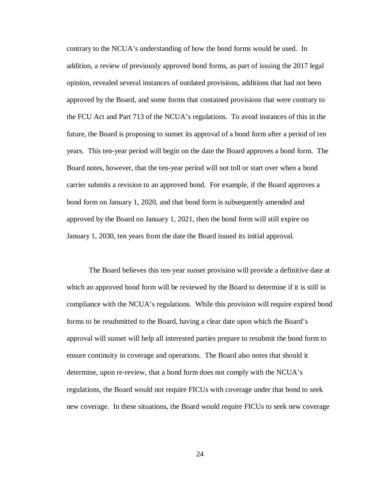contrary to the NCUA's understanding of how the bond forms would be used. In addition, a review of previously approved bond forms, as part of issuing the 2017 legal opinion, revealed several instances of outdated provisions, additions that had not been approved by the Board, and some forms that contained provisions that were contrary to the FCU Act and Part 713 of the NCUA's regulations. To avoid instances of this in the future, the Board is proposing to sunset its approval of a bond form after a period of ten years. This ten-year period will begin on the date the Board approves a bond form. The Board notes, however, that the ten-year period will not toll or start over when a bond carrier submits a revision to an approved bond. For example, if the Board approves a bond form on January 1, 2020, and that bond form is subsequently amended and approved by the Board on January 1, 2021, then the bond form will still expire on January 1, 2030, ten years from the date the Board issued its initial approval.

The Board believes this ten-year sunset provision will provide a definitive date at which an approved bond form will be reviewed by the Board to determine if it is still in compliance with the NCUA's regulations. While this provision will require expired bond forms to be resubmitted to the Board, having a clear date upon which the Board's approval will sunset will help all interested parties prepare to resubmit the bond form to ensure continuity in coverage and operations. The Board also notes that should it determine, upon re-review, that a bond form does not comply with the NCUA's regulations, the Board would not require FICUs with coverage under that bond to seek new coverage. In these situations, the Board would require FICUs to seek new coverage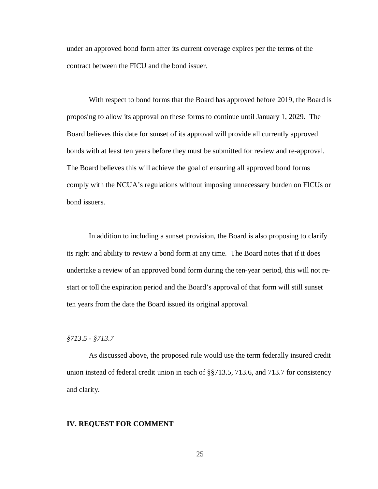under an approved bond form after its current coverage expires per the terms of the contract between the FICU and the bond issuer.

With respect to bond forms that the Board has approved before 2019, the Board is proposing to allow its approval on these forms to continue until January 1, 2029. The Board believes this date for sunset of its approval will provide all currently approved bonds with at least ten years before they must be submitted for review and re-approval. The Board believes this will achieve the goal of ensuring all approved bond forms comply with the NCUA's regulations without imposing unnecessary burden on FICUs or bond issuers.

In addition to including a sunset provision, the Board is also proposing to clarify its right and ability to review a bond form at any time. The Board notes that if it does undertake a review of an approved bond form during the ten-year period, this will not restart or toll the expiration period and the Board's approval of that form will still sunset ten years from the date the Board issued its original approval.

## *§713.5 - §713.7*

As discussed above, the proposed rule would use the term federally insured credit union instead of federal credit union in each of §§713.5, 713.6, and 713.7 for consistency and clarity.

#### **IV. REQUEST FOR COMMENT**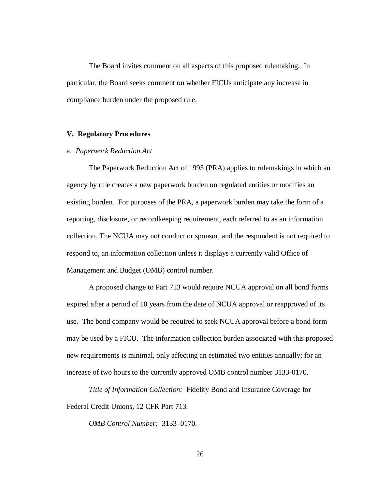The Board invites comment on all aspects of this proposed rulemaking. In particular, the Board seeks comment on whether FICUs anticipate any increase in compliance burden under the proposed rule.

## **V. Regulatory Procedures**

## a. *Paperwork Reduction Act*

The Paperwork Reduction Act of 1995 (PRA) applies to rulemakings in which an agency by rule creates a new paperwork burden on regulated entities or modifies an existing burden. For purposes of the PRA, a paperwork burden may take the form of a reporting, disclosure, or recordkeeping requirement, each referred to as an information collection. The NCUA may not conduct or sponsor, and the respondent is not required to respond to, an information collection unless it displays a currently valid Office of Management and Budget (OMB) control number.

A proposed change to Part 713 would require NCUA approval on all bond forms expired after a period of 10 years from the date of NCUA approval or reapproved of its use. The bond company would be required to seek NCUA approval before a bond form may be used by a FICU. The information collection burden associated with this proposed new requirements is minimal, only affecting an estimated two entities annually; for an increase of two hours to the currently approved OMB control number 3133-0170.

*Title of Information Collection:* Fidelity Bond and Insurance Coverage for Federal Credit Unions, 12 CFR Part 713.

*OMB Control Number:* 3133–0170.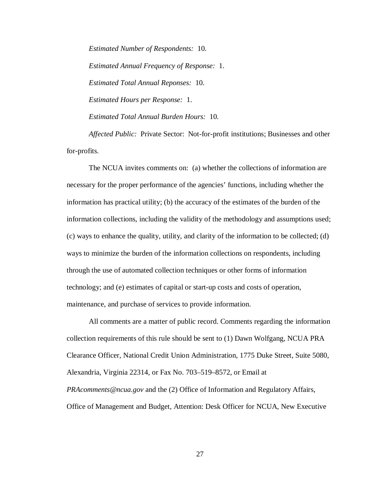*Estimated Number of Respondents:* 10. *Estimated Annual Frequency of Response:* 1. *Estimated Total Annual Reponses:* 10. *Estimated Hours per Response:* 1. *Estimated Total Annual Burden Hours:* 10.

*Affected Public:* Private Sector:Not-for-profit institutions; Businesses and other for-profits.

The NCUA invites comments on: (a) whether the collections of information are necessary for the proper performance of the agencies' functions, including whether the information has practical utility; (b) the accuracy of the estimates of the burden of the information collections, including the validity of the methodology and assumptions used; (c) ways to enhance the quality, utility, and clarity of the information to be collected; (d) ways to minimize the burden of the information collections on respondents, including through the use of automated collection techniques or other forms of information technology; and (e) estimates of capital or start-up costs and costs of operation, maintenance, and purchase of services to provide information.

All comments are a matter of public record. Comments regarding the information collection requirements of this rule should be sent to (1) Dawn Wolfgang, NCUA PRA Clearance Officer, National Credit Union Administration, 1775 Duke Street, Suite 5080, Alexandria, Virginia 22314, or Fax No. 703–519–8572, or Email at *PRAcomments@ncua.gov* and the (2) Office of Information and Regulatory Affairs, Office of Management and Budget, Attention: Desk Officer for NCUA, New Executive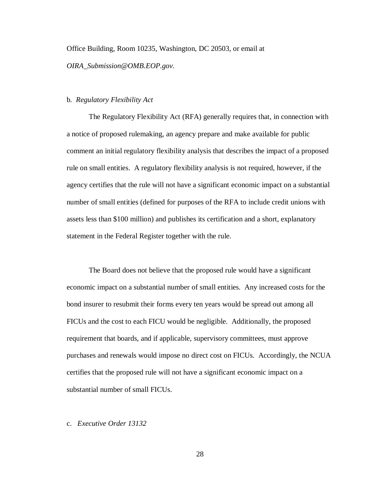Office Building, Room 10235, Washington, DC 20503, or email at *OIRA*\_*Submission@OMB.EOP.gov.* 

## b. *Regulatory Flexibility Act*

The Regulatory Flexibility Act (RFA) generally requires that, in connection with a notice of proposed rulemaking, an agency prepare and make available for public comment an initial regulatory flexibility analysis that describes the impact of a proposed rule on small entities. A regulatory flexibility analysis is not required, however, if the agency certifies that the rule will not have a significant economic impact on a substantial number of small entities (defined for purposes of the RFA to include credit unions with assets less than \$100 million) and publishes its certification and a short, explanatory statement in the Federal Register together with the rule.

The Board does not believe that the proposed rule would have a significant economic impact on a substantial number of small entities. Any increased costs for the bond insurer to resubmit their forms every ten years would be spread out among all FICUs and the cost to each FICU would be negligible. Additionally, the proposed requirement that boards, and if applicable, supervisory committees, must approve purchases and renewals would impose no direct cost on FICUs. Accordingly, the NCUA certifies that the proposed rule will not have a significant economic impact on a substantial number of small FICUs.

#### c. *Executive Order 13132*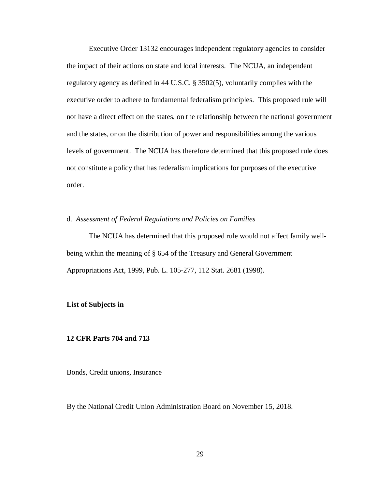Executive Order 13132 encourages independent regulatory agencies to consider the impact of their actions on state and local interests. The NCUA, an independent regulatory agency as defined in 44 U.S.C. § 3502(5), voluntarily complies with the executive order to adhere to fundamental federalism principles. This proposed rule will not have a direct effect on the states, on the relationship between the national government and the states, or on the distribution of power and responsibilities among the various levels of government. The NCUA has therefore determined that this proposed rule does not constitute a policy that has federalism implications for purposes of the executive order.

## d. *Assessment of Federal Regulations and Policies on Families*

The NCUA has determined that this proposed rule would not affect family wellbeing within the meaning of § 654 of the Treasury and General Government Appropriations Act, 1999, Pub. L. 105-277, 112 Stat. 2681 (1998).

#### **List of Subjects in**

## **12 CFR Parts 704 and 713**

Bonds, Credit unions, Insurance

By the National Credit Union Administration Board on November 15, 2018.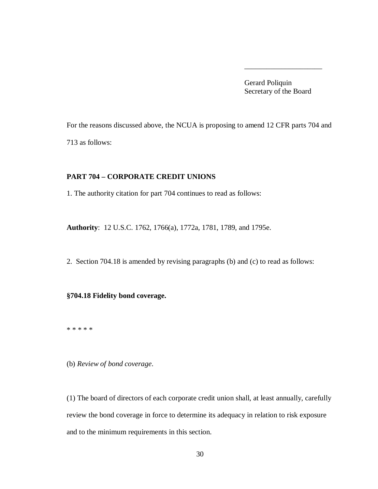Gerard Poliquin Secretary of the Board

\_\_\_\_\_\_\_\_\_\_\_\_\_\_\_\_\_\_\_\_\_

For the reasons discussed above, the NCUA is proposing to amend 12 CFR parts 704 and 713 as follows:

## **PART 704 – CORPORATE CREDIT UNIONS**

1. The authority citation for part 704 continues to read as follows:

**Authority**: 12 U.S.C. 1762, 1766(a), 1772a, 1781, 1789, and 1795e.

2. Section 704.18 is amended by revising paragraphs (b) and (c) to read as follows:

## **§704.18 Fidelity bond coverage.**

\* \* \* \* \*

(b) *Review of bond coverage*.

(1) The board of directors of each corporate credit union shall, at least annually, carefully review the bond coverage in force to determine its adequacy in relation to risk exposure and to the minimum requirements in this section.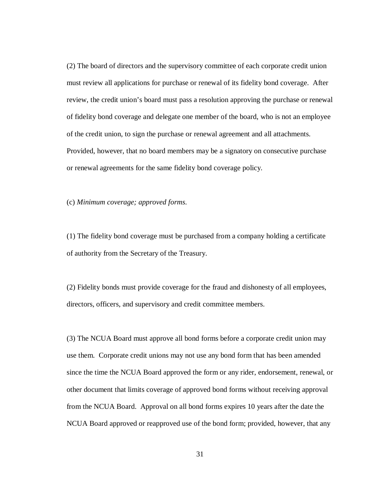(2) The board of directors and the supervisory committee of each corporate credit union must review all applications for purchase or renewal of its fidelity bond coverage. After review, the credit union's board must pass a resolution approving the purchase or renewal of fidelity bond coverage and delegate one member of the board, who is not an employee of the credit union, to sign the purchase or renewal agreement and all attachments. Provided, however, that no board members may be a signatory on consecutive purchase or renewal agreements for the same fidelity bond coverage policy.

(c) *Minimum coverage; approved forms*.

(1) The fidelity bond coverage must be purchased from a company holding a certificate of authority from the Secretary of the Treasury.

(2) Fidelity bonds must provide coverage for the fraud and dishonesty of all employees, directors, officers, and supervisory and credit committee members.

(3) The NCUA Board must approve all bond forms before a corporate credit union may use them. Corporate credit unions may not use any bond form that has been amended since the time the NCUA Board approved the form or any rider, endorsement, renewal, or other document that limits coverage of approved bond forms without receiving approval from the NCUA Board. Approval on all bond forms expires 10 years after the date the NCUA Board approved or reapproved use of the bond form; provided, however, that any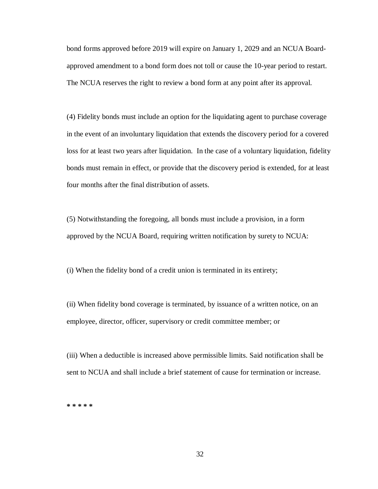bond forms approved before 2019 will expire on January 1, 2029 and an NCUA Boardapproved amendment to a bond form does not toll or cause the 10-year period to restart. The NCUA reserves the right to review a bond form at any point after its approval.

(4) Fidelity bonds must include an option for the liquidating agent to purchase coverage in the event of an involuntary liquidation that extends the discovery period for a covered loss for at least two years after liquidation. In the case of a voluntary liquidation, fidelity bonds must remain in effect, or provide that the discovery period is extended, for at least four months after the final distribution of assets.

(5) Notwithstanding the foregoing, all bonds must include a provision, in a form approved by the NCUA Board, requiring written notification by surety to NCUA:

(i) When the fidelity bond of a credit union is terminated in its entirety;

(ii) When fidelity bond coverage is terminated, by issuance of a written notice, on an employee, director, officer, supervisory or credit committee member; or

(iii) When a deductible is increased above permissible limits. Said notification shall be sent to NCUA and shall include a brief statement of cause for termination or increase.

**\* \* \* \* \***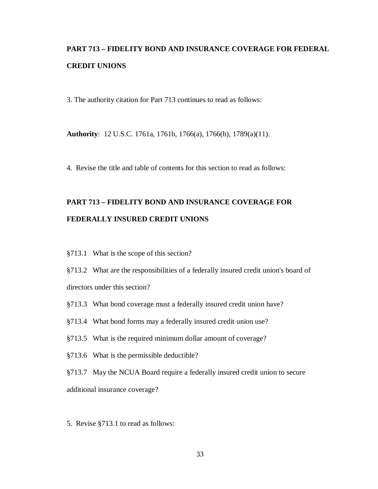# **PART 713 – FIDELITY BOND AND INSURANCE COVERAGE FOR FEDERAL CREDIT UNIONS**

3. The authority citation for Part 713 continues to read as follows:

**Authority**: 12 U.S.C. 1761a, 1761b, 1766(a), 1766(h), 1789(a)(11).

4. Revise the title and table of contents for this section to read as follows:

# **PART 713 – FIDELITY BOND AND INSURANCE COVERAGE FOR FEDERALLY INSURED CREDIT UNIONS**

§713.1 What is the scope of this section?

§713.2 What are the responsibilities of a federally insured credit union's board of directors under this section?

- §713.3 What bond coverage must a federally insured credit union have?
- §713.4 What bond forms may a federally insured credit union use?
- §713.5 What is the required minimum dollar amount of coverage?
- §713.6 What is the permissible deductible?

§713.7 May the NCUA Board require a federally insured credit union to secure additional insurance coverage?

5. Revise §713.1 to read as follows: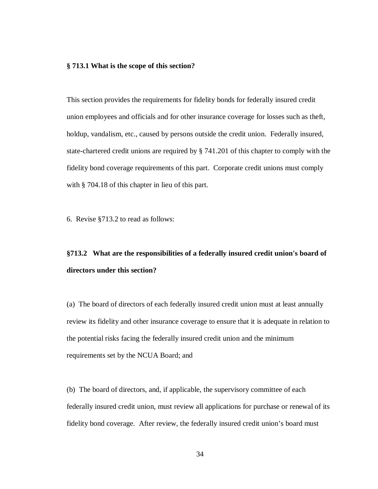#### **§ 713.1 What is the scope of this section?**

This section provides the requirements for fidelity bonds for federally insured credit union employees and officials and for other insurance coverage for losses such as theft, holdup, vandalism, etc., caused by persons outside the credit union. Federally insured, state-chartered credit unions are required by § 741.201 of this chapter to comply with the fidelity bond coverage requirements of this part. Corporate credit unions must comply with § 704.18 of this chapter in lieu of this part.

6. Revise §713.2 to read as follows:

# **§713.2 What are the responsibilities of a federally insured credit union's board of directors under this section?**

(a) The board of directors of each federally insured credit union must at least annually review its fidelity and other insurance coverage to ensure that it is adequate in relation to the potential risks facing the federally insured credit union and the minimum requirements set by the NCUA Board; and

(b) The board of directors, and, if applicable, the supervisory committee of each federally insured credit union, must review all applications for purchase or renewal of its fidelity bond coverage. After review, the federally insured credit union's board must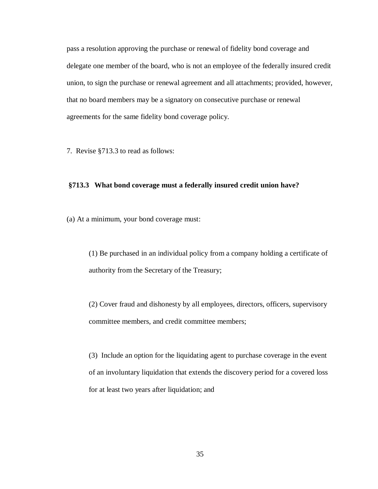pass a resolution approving the purchase or renewal of fidelity bond coverage and delegate one member of the board, who is not an employee of the federally insured credit union, to sign the purchase or renewal agreement and all attachments; provided, however, that no board members may be a signatory on consecutive purchase or renewal agreements for the same fidelity bond coverage policy.

7. Revise §713.3 to read as follows:

## **§713.3 What bond coverage must a federally insured credit union have?**

(a) At a minimum, your bond coverage must:

(1) Be purchased in an individual policy from a company holding a certificate of authority from the Secretary of the Treasury;

(2) Cover fraud and dishonesty by all employees, directors, officers, supervisory committee members, and credit committee members;

(3) Include an option for the liquidating agent to purchase coverage in the event of an involuntary liquidation that extends the discovery period for a covered loss for at least two years after liquidation; and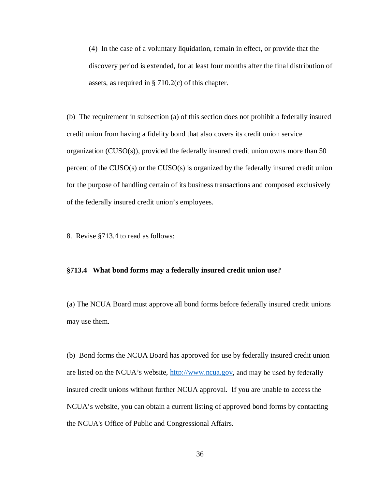(4) In the case of a voluntary liquidation, remain in effect, or provide that the discovery period is extended, for at least four months after the final distribution of assets, as required in § 710.2(c) of this chapter.

(b) The requirement in subsection (a) of this section does not prohibit a federally insured credit union from having a fidelity bond that also covers its credit union service organization (CUSO(s)), provided the federally insured credit union owns more than 50 percent of the CUSO(s) or the CUSO(s) is organized by the federally insured credit union for the purpose of handling certain of its business transactions and composed exclusively of the federally insured credit union's employees.

8. Revise §713.4 to read as follows:

#### **§713.4 What bond forms may a federally insured credit union use?**

(a) The NCUA Board must approve all bond forms before federally insured credit unions may use them.

(b) Bond forms the NCUA Board has approved for use by federally insured credit union are listed on the NCUA's website, [http://www.ncua.gov,](http://www.ncua.gov/) and may be used by federally insured credit unions without further NCUA approval. If you are unable to access the NCUA's website, you can obtain a current listing of approved bond forms by contacting the NCUA's Office of Public and Congressional Affairs.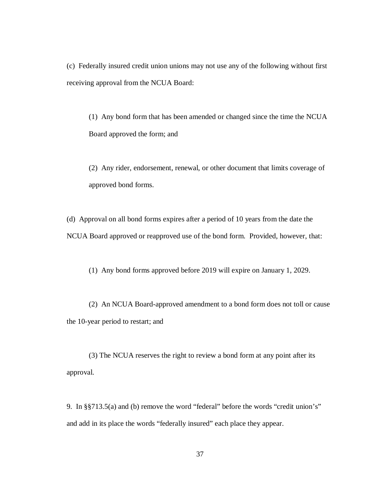(c) Federally insured credit union unions may not use any of the following without first receiving approval from the NCUA Board:

(1) Any bond form that has been amended or changed since the time the NCUA Board approved the form; and

(2) Any rider, endorsement, renewal, or other document that limits coverage of approved bond forms.

(d) Approval on all bond forms expires after a period of 10 years from the date the NCUA Board approved or reapproved use of the bond form. Provided, however, that:

(1) Any bond forms approved before 2019 will expire on January 1, 2029.

(2) An NCUA Board-approved amendment to a bond form does not toll or cause the 10-year period to restart; and

(3) The NCUA reserves the right to review a bond form at any point after its approval.

9. In §§713.5(a) and (b) remove the word "federal" before the words "credit union's" and add in its place the words "federally insured" each place they appear.